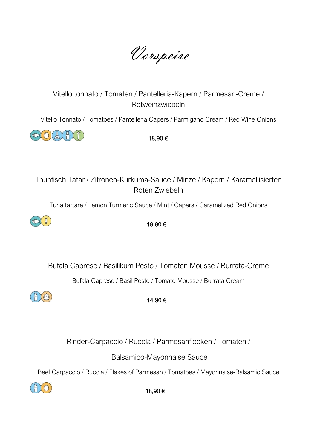Vorspeise

# Vitello tonnato / Tomaten / Pantelleria-Kapern / Parmesan-Creme / Rotweinzwiebeln

Vitello Tonnato / Tomatoes / Pantelleria Capers / Parmigano Cream / Red Wine Onions



18,90 €

Thunfisch Tatar / Zitronen-Kurkuma-Sauce / Minze / Kapern / Karamellisierten Roten Zwiebeln

Tuna tartare / Lemon Turmeric Sauce / Mint / Capers / Caramelized Red Onions



19,90 €

Bufala Caprese / Basilikum Pesto / Tomaten Mousse / Burrata-Creme

Bufala Caprese / Basil Pesto / Tomato Mousse / Burrata Cream



14,90 €

Rinder-Carpaccio / Rucola / Parmesanflocken / Tomaten /

Balsamico-Mayonnaise Sauce

Beef Carpaccio / Rucola / Flakes of Parmesan / Tomatoes / Mayonnaise-Balsamic Sauce

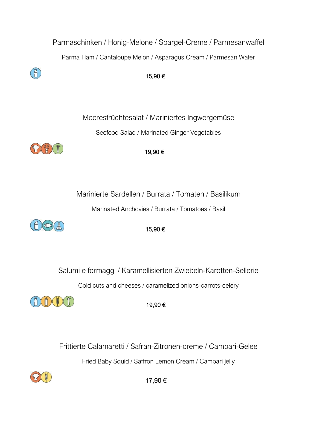

Cold cuts and cheeses / caramelized onions-carrots-celery



19,90 €

Frittierte Calamaretti / Safran-Zitronen-creme / Campari-Gelee Fried Baby Squid / Saffron Lemon Cream / Campari jelly

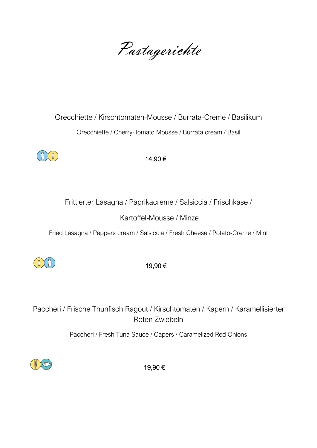Pastagerichte

# Orecchiette / Kirschtomaten-Mousse / Burrata-Creme / Basilikum Orecchiette / Cherry-Tomato Mousse / Burrata cream / Basil



14,90 €

Frittierter Lasagna / Paprikacreme / Salsiccia / Frischkäse /

Kartoffel-Mousse / Minze

Fried Lasagna / Peppers cream / Salsiccia / Fresh Cheese / Potato-Creme / Mint



19,90 €

Paccheri / Frische Thunfisch Ragout / Kirschtomaten / Kapern / Karamellisierten Roten Zwiebeln

Paccheri / Fresh Tuna Sauce / Capers / Caramelized Red Onions

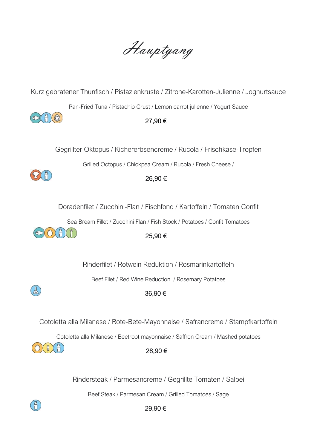Hauptgang

Kurz gebratener Thunfisch / Pistazienkruste / Zitrone-Karotten-Julienne / Joghurtsauce

Pan-Fried Tuna / Pistachio Crust / Lemon carrot julienne / Yogurt Sauce



#### 27,90 €

Gegrillter Oktopus / Kichererbsencreme / Rucola / Frischkäse-Tropfen

Grilled Octopus / Chickpea Cream / Rucola / Fresh Cheese /



#### 26,90 €

Doradenfilet / Zucchini-Flan / Fischfond / Kartoffeln / Tomaten Confit

Sea Bream Fillet / Zucchini Flan / Fish Stock / Potatoes / Confit Tomatoes



## 25,90 €

Rinderfilet / Rotwein Reduktion / Rosmarinkartoffeln

Beef Filet / Red Wine Reduction / Rosemary Potatoes

## 36,90 €

Cotoletta alla Milanese / Rote-Bete-Mayonnaise / Safrancreme / Stampfkartoffeln

Cotoletta alla Milanese / Beetroot mayonnaise / Saffron Cream / Mashed potatoes

## 26,90 €

Rindersteak / Parmesancreme / Gegrillte Tomaten / Salbei

Beef Steak / Parmesan Cream / Grilled Tomatoes / Sage



 $\mathbb{R}$